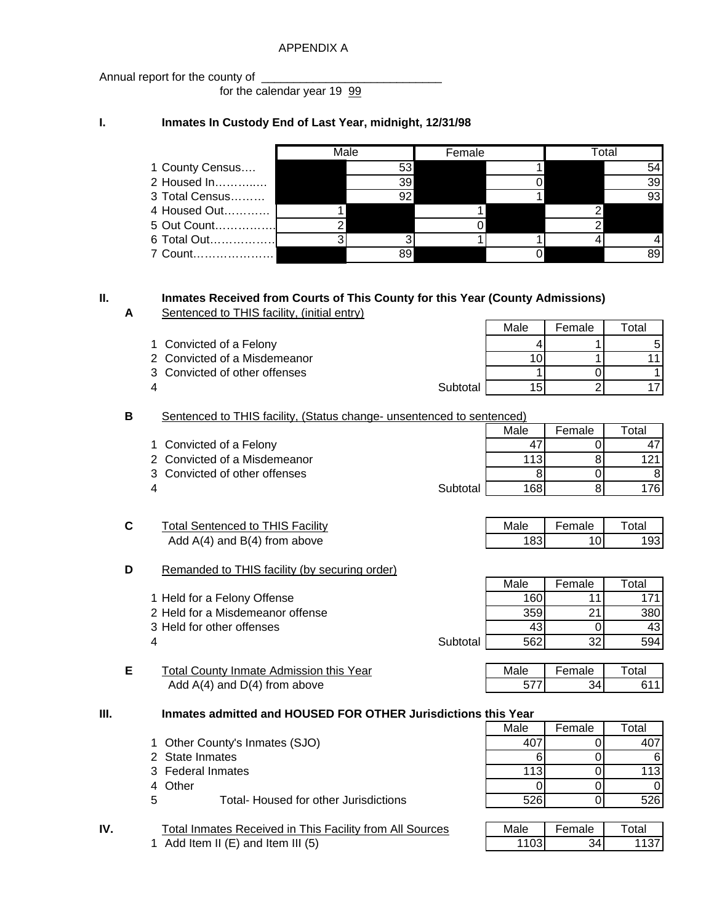### APPENDIX A

Annual report for the county of

for the calendar year 19 99

## **I. Inmates In Custody End of Last Year, midnight, 12/31/98**

|                 | Male |    | Female |  | otal |
|-----------------|------|----|--------|--|------|
| 1 County Census |      | 53 |        |  |      |
| 2 Housed In     |      | 39 |        |  | 39   |
| 3 Total Census  |      | 92 |        |  |      |
| 4 Housed Out    |      |    |        |  |      |
| 5 Out Count     |      |    |        |  |      |
| 6 Total Out!    |      |    |        |  |      |
| 7 Count         |      |    |        |  |      |

## **II. Inmates Received from Courts of This County for this Year (County Admissions)**

**A** Sentenced to THIS facility, (initial entry)

| 1 Convicted of a Felony |  |  |
|-------------------------|--|--|

2 Convicted of a Misdemeanor 10 10 11 11 11

3 Convicted of other offenses 1 0 1

4 Subtotal 15 2 17

**B** Sentenced to THIS facility, (Status change- unsentenced to sentenced)

|                               |          | Male | Female | Γotal |
|-------------------------------|----------|------|--------|-------|
| 1 Convicted of a Felony       |          |      |        |       |
| 2 Convicted of a Misdemeanor  |          |      |        |       |
| 3 Convicted of other offenses |          |      |        |       |
| 4                             | Subtotal | 168  |        |       |

| ⌒ | <b>Total Sentenced to THIS Facility</b> | Male | Female | Total |
|---|-----------------------------------------|------|--------|-------|
|   | Add $A(4)$ and $B(4)$ from above        |      |        |       |

### **D** Remanded to THIS facility (by securing order)

- 2 Held for a Misdemeanor offense
- 3 Held for other offenses
- 
- **E** Total County Inmate Admission this Year Add  $A(4)$  and  $D(4)$  from above

**III. Inmates admitted and HOUSED FOR OTHER Jurisdictions this Year**

- 1 Other County's Inmates (SJO)
- 2 State Inmates
- 3 Federal Inmates
- 

**IV.** Total Inmates Received in This Facility from All Sources 1 Add Item II  $(E)$  and Item III  $(5)$ 

| Total Sentenced to THIS Facility | Male | Female | Total |
|----------------------------------|------|--------|-------|
| Add $A(4)$ and $B(4)$ from above | 183. |        | 193I  |

Male | Female | Total

|                                  |          | Male | Female          | Total |
|----------------------------------|----------|------|-----------------|-------|
| 1 Held for a Felony Offense      |          | 160  |                 | 171   |
| 2 Held for a Misdemeanor offense |          | 359  | 21              | 380   |
| 3 Held for other offenses        |          | 43   |                 | 431   |
| 4                                | Subtotal | 562  | 32 <sub>l</sub> | 594   |

| 1ale | $T \sim 2$ | *a⊩ |
|------|------------|-----|
|      |            |     |

|    | Inmates admitted and HOUSED FOR OTHER JUITS0ICtIONS this Year |      |        |       |  |  |
|----|---------------------------------------------------------------|------|--------|-------|--|--|
|    |                                                               | Male | Female | Total |  |  |
|    | 1 Other County's Inmates (SJO)                                |      |        |       |  |  |
|    | 2 State Inmates                                               |      |        |       |  |  |
|    | 3 Federal Inmates                                             | 113  |        | 1131  |  |  |
|    | 4 Other                                                       |      |        |       |  |  |
| 5. | Total- Housed for other Jurisdictions                         | 526  |        | 526I  |  |  |

| _ ءا∼ | Female | งtal |
|-------|--------|------|
|       |        |      |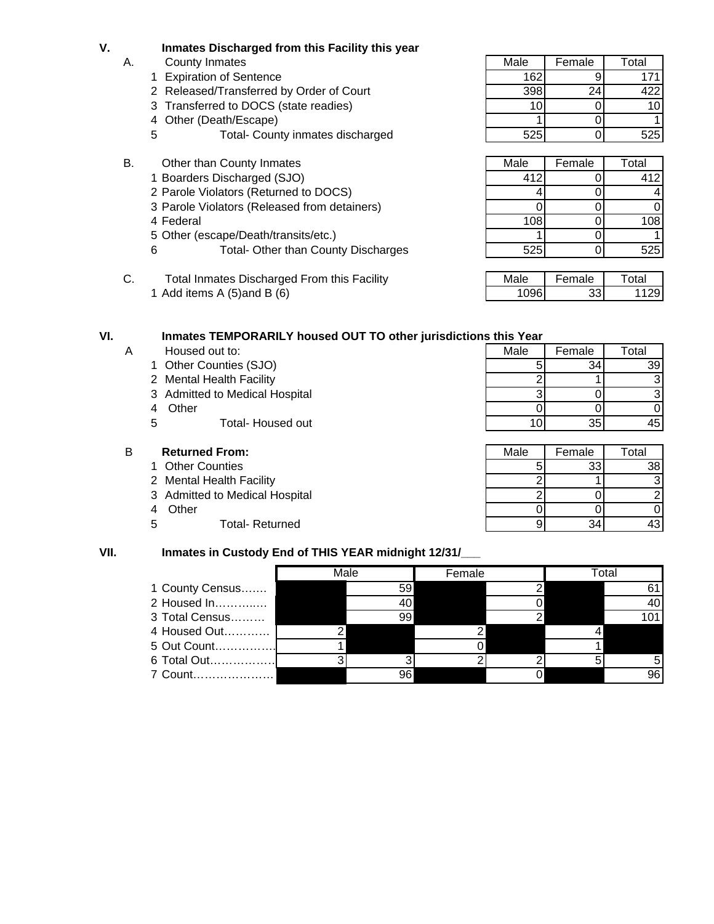- **V. Inmates Discharged from this Facility this year**
	- -
		- 2 Released/Transferred by Order of Court 1998 398 24 422
		- 3 Transferred to DOCS (state readies) 10 10 10 10 10
		-
		- 5 Total- County inmates discharged 525 525 0 525
	- B. Other than County Inmates
		- 1 Boarders Discharged (SJO)
		- 2 Parole Violators (Returned to DOCS)
		- 3 Parole Violators (Released from detainers)
		-
		- 5 Other (escape/Death/transits/etc.)
		- 6 Total- Other than County Discharges
	- C. Total Inmates Discharged From this Facility 1 Add items A  $(5)$  and B  $(6)$

### **VI. Inmates TEMPORARILY housed OUT TO other jurisdictions this Year**

- A Housed out to:
	- 1 Other Counties (SJO)
	- 2 Mental Health Facility
	- 3 Admitted to Medical Hospital
	-
	- 5 Total- Housed out

### **B Returned From:**

- 1 Other Counties
- 2 Mental Health Facility
- 3 Admitted to Medical Hospital
- 
- 5 Total- Returned

# A. County Inmates **Male A.** County Inmates **Male Female Total** 1 Expiration of Sentence 162 162 9 171 4 Other (Death/Escape) 1 1 0 1 1 0 1

| Other than County Inmates                        | Male | Female | Total          |
|--------------------------------------------------|------|--------|----------------|
| 1 Boarders Discharged (SJO)                      | 412  |        | 412            |
| 2 Parole Violators (Returned to DOCS)            |      |        | $\overline{a}$ |
| 3 Parole Violators (Released from detainers)     |      |        | $\Omega$       |
| 4 Federal                                        | 108  |        | 108            |
| 5 Other (escape/Death/transits/etc.)             |      |        | 1              |
| <b>Total- Other than County Discharges</b><br>6. | 525  |        | 525            |

| ۰۵. | male | tal |
|-----|------|-----|
|     |      |     |

| Housed out to:                 | Male | Female | Total |
|--------------------------------|------|--------|-------|
| 1 Other Counties (SJO)         |      | 34     | 39    |
| 2 Mental Health Facility       |      |        | зI    |
| 3 Admitted to Medical Hospital |      |        | 31    |
| Other<br>4                     |      |        |       |
| 5<br>Total- Housed out         | 10.  | 35     | 45 I  |

| <b>Returned From:</b>          | Male | Female | Total |
|--------------------------------|------|--------|-------|
| 1 Other Counties               |      | 33     | 38I   |
| 2 Mental Health Facility       |      |        | 31    |
| 3 Admitted to Medical Hospital |      |        |       |
| Other<br>4                     |      |        |       |
| 5<br><b>Total- Returned</b>    |      |        | 43!   |

### **VII. Inmates in Custody End of THIS YEAR midnight 12/31/\_\_\_**

|                 | Male |    | Female |  | Total |    |
|-----------------|------|----|--------|--|-------|----|
| 1 County Census |      | 59 |        |  |       |    |
| 2 Housed In     |      |    |        |  |       | 40 |
| 3 Total Census  |      | 99 |        |  |       |    |
| 4 Housed Out    |      |    |        |  |       |    |
| 5 Out Count     |      |    |        |  |       |    |
| 6 Total Out     |      |    |        |  |       | 5  |
| 7 Count         |      | 96 |        |  |       | 96 |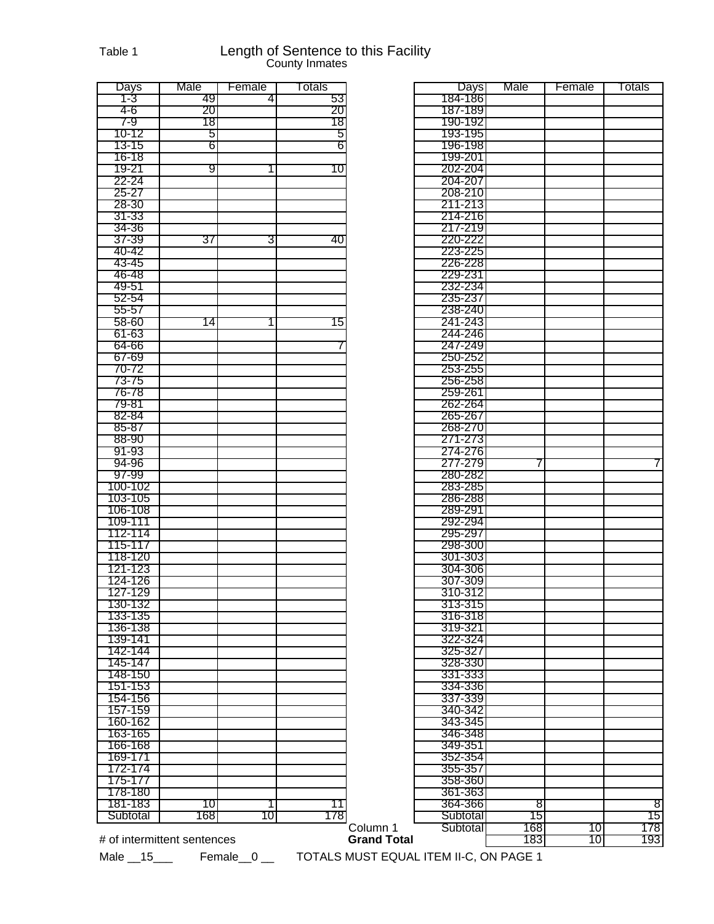### Table 1 **Length of Sentence to this Facility** County Inmates

| Days     | Male | Female | Totals |          | Days                 | Male      | Female | Totals         |
|----------|------|--------|--------|----------|----------------------|-----------|--------|----------------|
| 1-3      | -49  | 4      | 53     |          | 184-186              |           |        |                |
| 4-6      | 20   |        | 20     |          | 187-189              |           |        |                |
| 7-9      | 18   |        | 18     |          | 190-192              |           |        |                |
| 10-12    | 5    |        | 5      |          | 193-195              |           |        |                |
| 13-15    | 6    |        | 6      |          | 196-198              |           |        |                |
| 16-18    |      |        |        |          | 199-201              |           |        |                |
| 19-21    | 9    | 1.     | 10     |          | 202-204              |           |        |                |
| 22-24    |      |        |        |          | 204-207              |           |        |                |
| 25-27    |      |        |        |          | 208-210              |           |        |                |
| 28-30    |      |        |        |          | 211-213              |           |        |                |
| 31-33    |      |        |        |          | 214-216              |           |        |                |
| 34-36    |      |        |        |          | 217-219              |           |        |                |
|          |      |        |        |          |                      |           |        |                |
| 37-39    | 37   | 31     | 40     |          | 220-222              |           |        |                |
| 40-42    |      |        |        |          | 223-225              |           |        |                |
| 43-45    |      |        |        |          | 226-228              |           |        |                |
| 46-48    |      |        |        |          | 229-231              |           |        |                |
| 49-51    |      |        |        |          | 232-234              |           |        |                |
| 52-54    |      |        |        |          | 235-237              |           |        |                |
| 55-57    |      |        |        |          | 238-240              |           |        |                |
| 58-60    | 14   |        | 15     |          | 241-243              |           |        |                |
| 61-63    |      |        |        |          | 244-246              |           |        |                |
| 64-66    |      |        |        |          | 247-249              |           |        |                |
| 67-69    |      |        |        |          | 250-252              |           |        |                |
| 70-72    |      |        |        |          | 253-255              |           |        |                |
| 73-75    |      |        |        |          | 256-258              |           |        |                |
| 76-78    |      |        |        |          | 259-261              |           |        |                |
| 79-81    |      |        |        |          | 262-264              |           |        |                |
| 82-84    |      |        |        |          | 265-267              |           |        |                |
|          |      |        |        |          |                      |           |        |                |
| 85-87    |      |        |        |          | 268-270              |           |        |                |
| 88-90    |      |        |        |          | 271-273              |           |        |                |
| 91-93    |      |        |        |          | 274-276              |           |        |                |
| 94-96    |      |        |        |          | 277-279              | 7         |        | 7              |
| 97-99    |      |        |        |          | 280-282              |           |        |                |
| 100-102  |      |        |        |          | 283-285              |           |        |                |
| 103-105  |      |        |        |          | 286-288              |           |        |                |
| 106-108  |      |        |        |          | 289-291              |           |        |                |
|          |      |        |        |          |                      |           |        |                |
| 109-111  |      |        |        |          | 292-294              |           |        |                |
| 112-114  |      |        |        |          | 295-297              |           |        |                |
|          |      |        |        |          |                      |           |        |                |
| 115-117  |      |        |        |          | 298-300              |           |        |                |
| 118-120  |      |        |        |          | 301-303              |           |        |                |
| 121-123  |      |        |        |          | 304-306              |           |        |                |
| 124-126  |      |        |        |          | 307-309              |           |        |                |
| 127-129  |      |        |        |          | 310-312              |           |        |                |
| 130-132  |      |        |        |          | 313-315              |           |        |                |
| 133-135  |      |        |        |          | 316-318              |           |        |                |
| 136-138  |      |        |        |          | 319-321              |           |        |                |
| 139-141  |      |        |        |          | 322-324              |           |        |                |
| 142-144  |      |        |        |          | 325-327              |           |        |                |
| 145-147  |      |        |        |          | 328-330              |           |        |                |
| 148-150  |      |        |        |          | 331-333              |           |        |                |
| 151-153  |      |        |        |          | 334-336              |           |        |                |
| 154-156  |      |        |        |          | 337-339              |           |        |                |
| 157-159  |      |        |        |          | 340-342              |           |        |                |
| 160-162  |      |        |        |          | 343-345              |           |        |                |
|          |      |        |        |          |                      |           |        |                |
| 163-165  |      |        |        |          | 346-348              |           |        |                |
| 166-168  |      |        |        |          | 349-351              |           |        |                |
| 169-171  |      |        |        |          | 352-354              |           |        |                |
| 172-174  |      |        |        |          | 355-357              |           |        |                |
| 175-177  |      |        |        |          | 358-360              |           |        |                |
| 178-180  |      |        |        |          | 361-363              |           |        |                |
| 181-183  | 10   | 11     | 11     |          | 364-366              | 8         |        |                |
| Subtotal | 168  | 10     | 178    | Column 1 | Subtotal<br>Subtotal | 15<br>168 | 10     | 8<br>15<br>178 |

|                    | Days               | Male | Female | Totals |
|--------------------|--------------------|------|--------|--------|
|                    | 184-186            |      |        |        |
|                    | 187-189            |      |        |        |
|                    | 190-192            |      |        |        |
|                    | 193-195<br>196-198 |      |        |        |
|                    |                    |      |        |        |
|                    | 199-201<br>202-204 |      |        |        |
|                    | 204-207            |      |        |        |
|                    | 208-210            |      |        |        |
|                    | 211-213            |      |        |        |
|                    | 214-216            |      |        |        |
|                    | 217-219            |      |        |        |
|                    | 220-222            |      |        |        |
|                    | 223-225            |      |        |        |
|                    | 226-228            |      |        |        |
|                    | 229-231            |      |        |        |
|                    | 232-234            |      |        |        |
|                    | 235-237            |      |        |        |
|                    | 238-240            |      |        |        |
|                    | 241-243            |      |        |        |
|                    | 244-246            |      |        |        |
|                    | 247-249            |      |        |        |
|                    | 250-252            |      |        |        |
|                    | 253-255            |      |        |        |
|                    | 256-258            |      |        |        |
|                    | 259-261            |      |        |        |
|                    | 262-264            |      |        |        |
|                    | 265-267            |      |        |        |
|                    | 268-270            |      |        |        |
|                    | 271-273            |      |        |        |
|                    | 274-276            |      |        |        |
|                    | 277-279            | 7    |        | 7      |
|                    | 280-282            |      |        |        |
|                    | 283-285            |      |        |        |
|                    | 286-288            |      |        |        |
|                    | 289-291            |      |        |        |
|                    | 292-294            |      |        |        |
|                    | 295-297            |      |        |        |
|                    | 298-300            |      |        |        |
|                    | 301-303            |      |        |        |
|                    | 304-306            |      |        |        |
|                    | 307-309            |      |        |        |
|                    | 310-312            |      |        |        |
|                    | 313-315            |      |        |        |
|                    | 316-318            |      |        |        |
|                    | 319-321            |      |        |        |
|                    | 322-324            |      |        |        |
|                    | 325-327            |      |        |        |
|                    | 328-330            |      |        |        |
|                    | 331-333<br>334-336 |      |        |        |
|                    | 337-339            |      |        |        |
|                    | 340-342            |      |        |        |
|                    | 343-345            |      |        |        |
|                    | 346-348            |      |        |        |
|                    | 349-351            |      |        |        |
|                    | 352-354            |      |        |        |
|                    | 355-357            |      |        |        |
|                    | 358-360            |      |        |        |
|                    | 361-363            |      |        |        |
|                    | 364-366            | 8    |        | 8      |
|                    | Subtotal           | 15   |        | 15     |
| Column 1           | Subtotal           | 168  | 10     | 178    |
| <b>Grand Total</b> |                    | 183  | 10     | 193    |

# of intermittent sentences **Grand Total** 

Male \_\_15\_\_\_ Female \_\_0 \_\_ TOTALS MUST EQUAL ITEM II-C, ON PAGE 1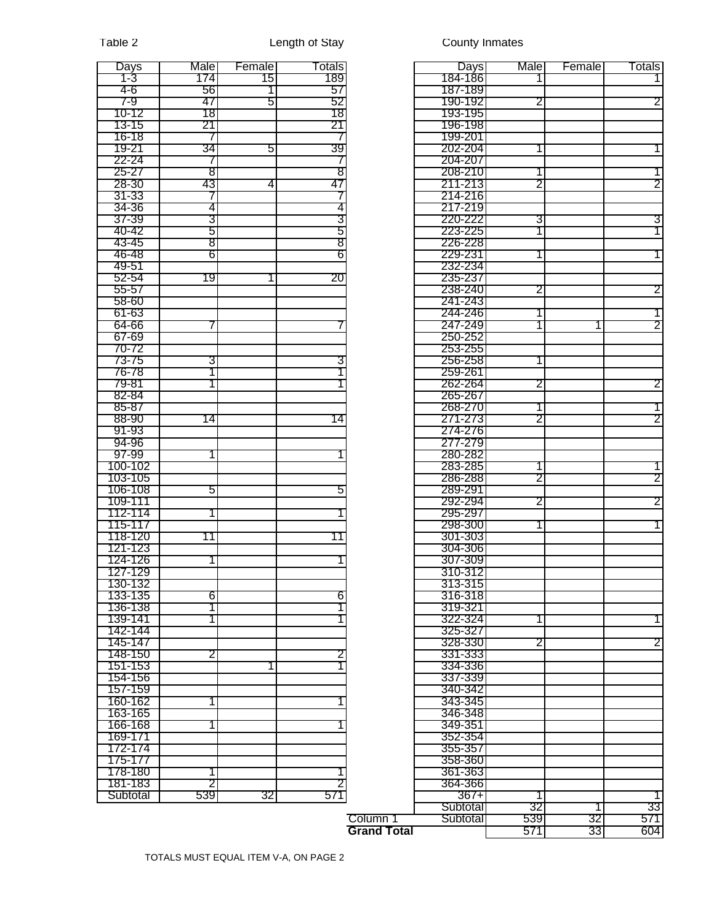| 1-3<br>184-186<br>1741<br>15<br>189<br>4-6<br>56<br>187-189<br>57<br>1  <br>7-9<br>47<br>5<br>52<br>190-192<br>2<br>10-12<br>18<br>18<br>193-195<br>21<br>13-15<br>21<br>196-198<br>16-18<br>199-201<br>$\prime$<br>39<br>202-204<br>19-21<br>34<br>51<br>22-24<br>204-207<br>$\sqrt{2}$<br>8<br>$25 - 27$<br>8<br>208-210<br>43<br>28-30<br>4<br>47<br>211-213<br>2<br>2<br>31-33<br>214-216<br>$\prime$<br>4<br>217-219<br>34-36<br>4<br>3<br>3<br>220-222<br>3<br>37-39<br>3<br>5<br>5<br>223-225<br>1<br>40-42<br>1.<br>8<br>8<br>43-45<br>226-228<br>6<br>46-48<br>6<br>229-231<br>49-51<br>232-234<br>20<br>52-54<br>19<br>235-237<br>1  <br>238-240<br>55-57<br>2<br>58-60<br>241-243<br>61-63<br>244-246<br>247-249<br>64-66<br>1<br>67-69<br>250-252<br>70-72<br>253-255<br>73-75<br>3<br>256-258<br>З<br>76-78<br>259-261<br>79-81<br>262-264<br>$\overline{2}$<br>2<br>82-84<br>265-267<br>85-87<br>268-270<br>2<br>271-273<br>2<br>88-90<br>14<br>14<br>274-276<br>91-93<br>94-96<br>277-279<br>97-99<br>280-282<br>100-102<br>283-285<br>2<br>2<br>103-105<br>286-288<br>106-108<br>289-291<br>5<br>5<br>2<br>109-111<br>292-294<br>2<br>112-114<br>295-297<br>115-117<br>298-300<br>118-120<br>11<br>301-303<br>11<br>121-123<br>304-306<br>124-126<br>307-309<br>127-129<br>310-312<br>130-132<br>313-315<br>6<br>6<br>133-135<br>316-318<br>136-138<br>319-321<br>1<br>139-141<br>322-324<br>1.<br>142-144<br>325-327<br>2<br>145-147<br>328-330<br>2<br>148-150<br>331-333<br>2<br>2<br>151-153<br>334-336<br>337-339<br>154-156<br>340-342<br>157-159<br>343-345<br>160-162<br>163-165<br>346-348<br>166-168<br>349-351<br>169-171<br>352-354<br>172-174<br>355-357<br>175-177<br>358-360<br>178-180<br>361-363<br>181-183<br>364-366<br>2<br>539<br>571<br>32<br>Subtotal<br>$367+$<br>Subtotal<br>32 | Days | Male | Female | Totals |          | <b>Days</b> | Male | Female | Totals |
|--------------------------------------------------------------------------------------------------------------------------------------------------------------------------------------------------------------------------------------------------------------------------------------------------------------------------------------------------------------------------------------------------------------------------------------------------------------------------------------------------------------------------------------------------------------------------------------------------------------------------------------------------------------------------------------------------------------------------------------------------------------------------------------------------------------------------------------------------------------------------------------------------------------------------------------------------------------------------------------------------------------------------------------------------------------------------------------------------------------------------------------------------------------------------------------------------------------------------------------------------------------------------------------------------------------------------------------------------------------------------------------------------------------------------------------------------------------------------------------------------------------------------------------------------------------------------------------------------------------------------------------------------------------------------------------------------------------------------------------------------------------------------------------------------------------------------|------|------|--------|--------|----------|-------------|------|--------|--------|
|                                                                                                                                                                                                                                                                                                                                                                                                                                                                                                                                                                                                                                                                                                                                                                                                                                                                                                                                                                                                                                                                                                                                                                                                                                                                                                                                                                                                                                                                                                                                                                                                                                                                                                                                                                                                                          |      |      |        |        |          |             |      |        |        |
|                                                                                                                                                                                                                                                                                                                                                                                                                                                                                                                                                                                                                                                                                                                                                                                                                                                                                                                                                                                                                                                                                                                                                                                                                                                                                                                                                                                                                                                                                                                                                                                                                                                                                                                                                                                                                          |      |      |        |        |          |             |      |        |        |
|                                                                                                                                                                                                                                                                                                                                                                                                                                                                                                                                                                                                                                                                                                                                                                                                                                                                                                                                                                                                                                                                                                                                                                                                                                                                                                                                                                                                                                                                                                                                                                                                                                                                                                                                                                                                                          |      |      |        |        |          |             |      |        | 2      |
|                                                                                                                                                                                                                                                                                                                                                                                                                                                                                                                                                                                                                                                                                                                                                                                                                                                                                                                                                                                                                                                                                                                                                                                                                                                                                                                                                                                                                                                                                                                                                                                                                                                                                                                                                                                                                          |      |      |        |        |          |             |      |        |        |
|                                                                                                                                                                                                                                                                                                                                                                                                                                                                                                                                                                                                                                                                                                                                                                                                                                                                                                                                                                                                                                                                                                                                                                                                                                                                                                                                                                                                                                                                                                                                                                                                                                                                                                                                                                                                                          |      |      |        |        |          |             |      |        |        |
|                                                                                                                                                                                                                                                                                                                                                                                                                                                                                                                                                                                                                                                                                                                                                                                                                                                                                                                                                                                                                                                                                                                                                                                                                                                                                                                                                                                                                                                                                                                                                                                                                                                                                                                                                                                                                          |      |      |        |        |          |             |      |        |        |
|                                                                                                                                                                                                                                                                                                                                                                                                                                                                                                                                                                                                                                                                                                                                                                                                                                                                                                                                                                                                                                                                                                                                                                                                                                                                                                                                                                                                                                                                                                                                                                                                                                                                                                                                                                                                                          |      |      |        |        |          |             |      |        |        |
|                                                                                                                                                                                                                                                                                                                                                                                                                                                                                                                                                                                                                                                                                                                                                                                                                                                                                                                                                                                                                                                                                                                                                                                                                                                                                                                                                                                                                                                                                                                                                                                                                                                                                                                                                                                                                          |      |      |        |        |          |             |      |        |        |
|                                                                                                                                                                                                                                                                                                                                                                                                                                                                                                                                                                                                                                                                                                                                                                                                                                                                                                                                                                                                                                                                                                                                                                                                                                                                                                                                                                                                                                                                                                                                                                                                                                                                                                                                                                                                                          |      |      |        |        |          |             |      |        |        |
|                                                                                                                                                                                                                                                                                                                                                                                                                                                                                                                                                                                                                                                                                                                                                                                                                                                                                                                                                                                                                                                                                                                                                                                                                                                                                                                                                                                                                                                                                                                                                                                                                                                                                                                                                                                                                          |      |      |        |        |          |             |      |        |        |
|                                                                                                                                                                                                                                                                                                                                                                                                                                                                                                                                                                                                                                                                                                                                                                                                                                                                                                                                                                                                                                                                                                                                                                                                                                                                                                                                                                                                                                                                                                                                                                                                                                                                                                                                                                                                                          |      |      |        |        |          |             |      |        |        |
|                                                                                                                                                                                                                                                                                                                                                                                                                                                                                                                                                                                                                                                                                                                                                                                                                                                                                                                                                                                                                                                                                                                                                                                                                                                                                                                                                                                                                                                                                                                                                                                                                                                                                                                                                                                                                          |      |      |        |        |          |             |      |        |        |
|                                                                                                                                                                                                                                                                                                                                                                                                                                                                                                                                                                                                                                                                                                                                                                                                                                                                                                                                                                                                                                                                                                                                                                                                                                                                                                                                                                                                                                                                                                                                                                                                                                                                                                                                                                                                                          |      |      |        |        |          |             |      |        |        |
|                                                                                                                                                                                                                                                                                                                                                                                                                                                                                                                                                                                                                                                                                                                                                                                                                                                                                                                                                                                                                                                                                                                                                                                                                                                                                                                                                                                                                                                                                                                                                                                                                                                                                                                                                                                                                          |      |      |        |        |          |             |      |        |        |
|                                                                                                                                                                                                                                                                                                                                                                                                                                                                                                                                                                                                                                                                                                                                                                                                                                                                                                                                                                                                                                                                                                                                                                                                                                                                                                                                                                                                                                                                                                                                                                                                                                                                                                                                                                                                                          |      |      |        |        |          |             |      |        |        |
|                                                                                                                                                                                                                                                                                                                                                                                                                                                                                                                                                                                                                                                                                                                                                                                                                                                                                                                                                                                                                                                                                                                                                                                                                                                                                                                                                                                                                                                                                                                                                                                                                                                                                                                                                                                                                          |      |      |        |        |          |             |      |        |        |
|                                                                                                                                                                                                                                                                                                                                                                                                                                                                                                                                                                                                                                                                                                                                                                                                                                                                                                                                                                                                                                                                                                                                                                                                                                                                                                                                                                                                                                                                                                                                                                                                                                                                                                                                                                                                                          |      |      |        |        |          |             |      |        | 1      |
|                                                                                                                                                                                                                                                                                                                                                                                                                                                                                                                                                                                                                                                                                                                                                                                                                                                                                                                                                                                                                                                                                                                                                                                                                                                                                                                                                                                                                                                                                                                                                                                                                                                                                                                                                                                                                          |      |      |        |        |          |             |      |        |        |
|                                                                                                                                                                                                                                                                                                                                                                                                                                                                                                                                                                                                                                                                                                                                                                                                                                                                                                                                                                                                                                                                                                                                                                                                                                                                                                                                                                                                                                                                                                                                                                                                                                                                                                                                                                                                                          |      |      |        |        |          |             |      |        |        |
|                                                                                                                                                                                                                                                                                                                                                                                                                                                                                                                                                                                                                                                                                                                                                                                                                                                                                                                                                                                                                                                                                                                                                                                                                                                                                                                                                                                                                                                                                                                                                                                                                                                                                                                                                                                                                          |      |      |        |        |          |             |      |        | 2      |
|                                                                                                                                                                                                                                                                                                                                                                                                                                                                                                                                                                                                                                                                                                                                                                                                                                                                                                                                                                                                                                                                                                                                                                                                                                                                                                                                                                                                                                                                                                                                                                                                                                                                                                                                                                                                                          |      |      |        |        |          |             |      |        |        |
|                                                                                                                                                                                                                                                                                                                                                                                                                                                                                                                                                                                                                                                                                                                                                                                                                                                                                                                                                                                                                                                                                                                                                                                                                                                                                                                                                                                                                                                                                                                                                                                                                                                                                                                                                                                                                          |      |      |        |        |          |             |      |        |        |
|                                                                                                                                                                                                                                                                                                                                                                                                                                                                                                                                                                                                                                                                                                                                                                                                                                                                                                                                                                                                                                                                                                                                                                                                                                                                                                                                                                                                                                                                                                                                                                                                                                                                                                                                                                                                                          |      |      |        |        |          |             |      |        | 2      |
|                                                                                                                                                                                                                                                                                                                                                                                                                                                                                                                                                                                                                                                                                                                                                                                                                                                                                                                                                                                                                                                                                                                                                                                                                                                                                                                                                                                                                                                                                                                                                                                                                                                                                                                                                                                                                          |      |      |        |        |          |             |      |        |        |
|                                                                                                                                                                                                                                                                                                                                                                                                                                                                                                                                                                                                                                                                                                                                                                                                                                                                                                                                                                                                                                                                                                                                                                                                                                                                                                                                                                                                                                                                                                                                                                                                                                                                                                                                                                                                                          |      |      |        |        |          |             |      |        |        |
|                                                                                                                                                                                                                                                                                                                                                                                                                                                                                                                                                                                                                                                                                                                                                                                                                                                                                                                                                                                                                                                                                                                                                                                                                                                                                                                                                                                                                                                                                                                                                                                                                                                                                                                                                                                                                          |      |      |        |        |          |             |      |        |        |
|                                                                                                                                                                                                                                                                                                                                                                                                                                                                                                                                                                                                                                                                                                                                                                                                                                                                                                                                                                                                                                                                                                                                                                                                                                                                                                                                                                                                                                                                                                                                                                                                                                                                                                                                                                                                                          |      |      |        |        |          |             |      |        |        |
|                                                                                                                                                                                                                                                                                                                                                                                                                                                                                                                                                                                                                                                                                                                                                                                                                                                                                                                                                                                                                                                                                                                                                                                                                                                                                                                                                                                                                                                                                                                                                                                                                                                                                                                                                                                                                          |      |      |        |        |          |             |      |        |        |
|                                                                                                                                                                                                                                                                                                                                                                                                                                                                                                                                                                                                                                                                                                                                                                                                                                                                                                                                                                                                                                                                                                                                                                                                                                                                                                                                                                                                                                                                                                                                                                                                                                                                                                                                                                                                                          |      |      |        |        |          |             |      |        |        |
|                                                                                                                                                                                                                                                                                                                                                                                                                                                                                                                                                                                                                                                                                                                                                                                                                                                                                                                                                                                                                                                                                                                                                                                                                                                                                                                                                                                                                                                                                                                                                                                                                                                                                                                                                                                                                          |      |      |        |        |          |             |      |        |        |
|                                                                                                                                                                                                                                                                                                                                                                                                                                                                                                                                                                                                                                                                                                                                                                                                                                                                                                                                                                                                                                                                                                                                                                                                                                                                                                                                                                                                                                                                                                                                                                                                                                                                                                                                                                                                                          |      |      |        |        |          |             |      |        |        |
|                                                                                                                                                                                                                                                                                                                                                                                                                                                                                                                                                                                                                                                                                                                                                                                                                                                                                                                                                                                                                                                                                                                                                                                                                                                                                                                                                                                                                                                                                                                                                                                                                                                                                                                                                                                                                          |      |      |        |        |          |             |      |        |        |
|                                                                                                                                                                                                                                                                                                                                                                                                                                                                                                                                                                                                                                                                                                                                                                                                                                                                                                                                                                                                                                                                                                                                                                                                                                                                                                                                                                                                                                                                                                                                                                                                                                                                                                                                                                                                                          |      |      |        |        |          |             |      |        |        |
|                                                                                                                                                                                                                                                                                                                                                                                                                                                                                                                                                                                                                                                                                                                                                                                                                                                                                                                                                                                                                                                                                                                                                                                                                                                                                                                                                                                                                                                                                                                                                                                                                                                                                                                                                                                                                          |      |      |        |        |          |             |      |        |        |
|                                                                                                                                                                                                                                                                                                                                                                                                                                                                                                                                                                                                                                                                                                                                                                                                                                                                                                                                                                                                                                                                                                                                                                                                                                                                                                                                                                                                                                                                                                                                                                                                                                                                                                                                                                                                                          |      |      |        |        |          |             |      |        |        |
|                                                                                                                                                                                                                                                                                                                                                                                                                                                                                                                                                                                                                                                                                                                                                                                                                                                                                                                                                                                                                                                                                                                                                                                                                                                                                                                                                                                                                                                                                                                                                                                                                                                                                                                                                                                                                          |      |      |        |        |          |             |      |        | 1      |
|                                                                                                                                                                                                                                                                                                                                                                                                                                                                                                                                                                                                                                                                                                                                                                                                                                                                                                                                                                                                                                                                                                                                                                                                                                                                                                                                                                                                                                                                                                                                                                                                                                                                                                                                                                                                                          |      |      |        |        |          |             |      |        |        |
|                                                                                                                                                                                                                                                                                                                                                                                                                                                                                                                                                                                                                                                                                                                                                                                                                                                                                                                                                                                                                                                                                                                                                                                                                                                                                                                                                                                                                                                                                                                                                                                                                                                                                                                                                                                                                          |      |      |        |        |          |             |      |        |        |
|                                                                                                                                                                                                                                                                                                                                                                                                                                                                                                                                                                                                                                                                                                                                                                                                                                                                                                                                                                                                                                                                                                                                                                                                                                                                                                                                                                                                                                                                                                                                                                                                                                                                                                                                                                                                                          |      |      |        |        |          |             |      |        |        |
|                                                                                                                                                                                                                                                                                                                                                                                                                                                                                                                                                                                                                                                                                                                                                                                                                                                                                                                                                                                                                                                                                                                                                                                                                                                                                                                                                                                                                                                                                                                                                                                                                                                                                                                                                                                                                          |      |      |        |        |          |             |      |        |        |
|                                                                                                                                                                                                                                                                                                                                                                                                                                                                                                                                                                                                                                                                                                                                                                                                                                                                                                                                                                                                                                                                                                                                                                                                                                                                                                                                                                                                                                                                                                                                                                                                                                                                                                                                                                                                                          |      |      |        |        |          |             |      |        |        |
|                                                                                                                                                                                                                                                                                                                                                                                                                                                                                                                                                                                                                                                                                                                                                                                                                                                                                                                                                                                                                                                                                                                                                                                                                                                                                                                                                                                                                                                                                                                                                                                                                                                                                                                                                                                                                          |      |      |        |        |          |             |      |        |        |
|                                                                                                                                                                                                                                                                                                                                                                                                                                                                                                                                                                                                                                                                                                                                                                                                                                                                                                                                                                                                                                                                                                                                                                                                                                                                                                                                                                                                                                                                                                                                                                                                                                                                                                                                                                                                                          |      |      |        |        |          |             |      |        |        |
|                                                                                                                                                                                                                                                                                                                                                                                                                                                                                                                                                                                                                                                                                                                                                                                                                                                                                                                                                                                                                                                                                                                                                                                                                                                                                                                                                                                                                                                                                                                                                                                                                                                                                                                                                                                                                          |      |      |        |        |          |             |      |        |        |
|                                                                                                                                                                                                                                                                                                                                                                                                                                                                                                                                                                                                                                                                                                                                                                                                                                                                                                                                                                                                                                                                                                                                                                                                                                                                                                                                                                                                                                                                                                                                                                                                                                                                                                                                                                                                                          |      |      |        |        |          |             |      |        |        |
|                                                                                                                                                                                                                                                                                                                                                                                                                                                                                                                                                                                                                                                                                                                                                                                                                                                                                                                                                                                                                                                                                                                                                                                                                                                                                                                                                                                                                                                                                                                                                                                                                                                                                                                                                                                                                          |      |      |        |        |          |             |      |        |        |
|                                                                                                                                                                                                                                                                                                                                                                                                                                                                                                                                                                                                                                                                                                                                                                                                                                                                                                                                                                                                                                                                                                                                                                                                                                                                                                                                                                                                                                                                                                                                                                                                                                                                                                                                                                                                                          |      |      |        |        |          |             |      |        |        |
|                                                                                                                                                                                                                                                                                                                                                                                                                                                                                                                                                                                                                                                                                                                                                                                                                                                                                                                                                                                                                                                                                                                                                                                                                                                                                                                                                                                                                                                                                                                                                                                                                                                                                                                                                                                                                          |      |      |        |        |          |             |      |        |        |
|                                                                                                                                                                                                                                                                                                                                                                                                                                                                                                                                                                                                                                                                                                                                                                                                                                                                                                                                                                                                                                                                                                                                                                                                                                                                                                                                                                                                                                                                                                                                                                                                                                                                                                                                                                                                                          |      |      |        |        |          |             |      |        |        |
|                                                                                                                                                                                                                                                                                                                                                                                                                                                                                                                                                                                                                                                                                                                                                                                                                                                                                                                                                                                                                                                                                                                                                                                                                                                                                                                                                                                                                                                                                                                                                                                                                                                                                                                                                                                                                          |      |      |        |        |          |             |      |        |        |
|                                                                                                                                                                                                                                                                                                                                                                                                                                                                                                                                                                                                                                                                                                                                                                                                                                                                                                                                                                                                                                                                                                                                                                                                                                                                                                                                                                                                                                                                                                                                                                                                                                                                                                                                                                                                                          |      |      |        |        |          |             |      |        |        |
|                                                                                                                                                                                                                                                                                                                                                                                                                                                                                                                                                                                                                                                                                                                                                                                                                                                                                                                                                                                                                                                                                                                                                                                                                                                                                                                                                                                                                                                                                                                                                                                                                                                                                                                                                                                                                          |      |      |        |        |          |             |      |        |        |
|                                                                                                                                                                                                                                                                                                                                                                                                                                                                                                                                                                                                                                                                                                                                                                                                                                                                                                                                                                                                                                                                                                                                                                                                                                                                                                                                                                                                                                                                                                                                                                                                                                                                                                                                                                                                                          |      |      |        |        |          |             |      |        |        |
|                                                                                                                                                                                                                                                                                                                                                                                                                                                                                                                                                                                                                                                                                                                                                                                                                                                                                                                                                                                                                                                                                                                                                                                                                                                                                                                                                                                                                                                                                                                                                                                                                                                                                                                                                                                                                          |      |      |        |        |          |             |      |        |        |
|                                                                                                                                                                                                                                                                                                                                                                                                                                                                                                                                                                                                                                                                                                                                                                                                                                                                                                                                                                                                                                                                                                                                                                                                                                                                                                                                                                                                                                                                                                                                                                                                                                                                                                                                                                                                                          |      |      |        |        |          |             |      |        |        |
|                                                                                                                                                                                                                                                                                                                                                                                                                                                                                                                                                                                                                                                                                                                                                                                                                                                                                                                                                                                                                                                                                                                                                                                                                                                                                                                                                                                                                                                                                                                                                                                                                                                                                                                                                                                                                          |      |      |        |        |          |             |      |        |        |
|                                                                                                                                                                                                                                                                                                                                                                                                                                                                                                                                                                                                                                                                                                                                                                                                                                                                                                                                                                                                                                                                                                                                                                                                                                                                                                                                                                                                                                                                                                                                                                                                                                                                                                                                                                                                                          |      |      |        |        |          |             |      |        |        |
|                                                                                                                                                                                                                                                                                                                                                                                                                                                                                                                                                                                                                                                                                                                                                                                                                                                                                                                                                                                                                                                                                                                                                                                                                                                                                                                                                                                                                                                                                                                                                                                                                                                                                                                                                                                                                          |      |      |        |        |          |             |      |        |        |
|                                                                                                                                                                                                                                                                                                                                                                                                                                                                                                                                                                                                                                                                                                                                                                                                                                                                                                                                                                                                                                                                                                                                                                                                                                                                                                                                                                                                                                                                                                                                                                                                                                                                                                                                                                                                                          |      |      |        |        |          |             |      |        |        |
|                                                                                                                                                                                                                                                                                                                                                                                                                                                                                                                                                                                                                                                                                                                                                                                                                                                                                                                                                                                                                                                                                                                                                                                                                                                                                                                                                                                                                                                                                                                                                                                                                                                                                                                                                                                                                          |      |      |        |        |          |             |      |        |        |
|                                                                                                                                                                                                                                                                                                                                                                                                                                                                                                                                                                                                                                                                                                                                                                                                                                                                                                                                                                                                                                                                                                                                                                                                                                                                                                                                                                                                                                                                                                                                                                                                                                                                                                                                                                                                                          |      |      |        |        |          |             |      |        |        |
|                                                                                                                                                                                                                                                                                                                                                                                                                                                                                                                                                                                                                                                                                                                                                                                                                                                                                                                                                                                                                                                                                                                                                                                                                                                                                                                                                                                                                                                                                                                                                                                                                                                                                                                                                                                                                          |      |      |        |        |          |             |      |        |        |
|                                                                                                                                                                                                                                                                                                                                                                                                                                                                                                                                                                                                                                                                                                                                                                                                                                                                                                                                                                                                                                                                                                                                                                                                                                                                                                                                                                                                                                                                                                                                                                                                                                                                                                                                                                                                                          |      |      |        |        |          |             |      |        |        |
|                                                                                                                                                                                                                                                                                                                                                                                                                                                                                                                                                                                                                                                                                                                                                                                                                                                                                                                                                                                                                                                                                                                                                                                                                                                                                                                                                                                                                                                                                                                                                                                                                                                                                                                                                                                                                          |      |      |        |        |          |             |      |        |        |
|                                                                                                                                                                                                                                                                                                                                                                                                                                                                                                                                                                                                                                                                                                                                                                                                                                                                                                                                                                                                                                                                                                                                                                                                                                                                                                                                                                                                                                                                                                                                                                                                                                                                                                                                                                                                                          |      |      |        |        |          |             |      |        |        |
|                                                                                                                                                                                                                                                                                                                                                                                                                                                                                                                                                                                                                                                                                                                                                                                                                                                                                                                                                                                                                                                                                                                                                                                                                                                                                                                                                                                                                                                                                                                                                                                                                                                                                                                                                                                                                          |      |      |        |        |          |             |      |        | 33     |
|                                                                                                                                                                                                                                                                                                                                                                                                                                                                                                                                                                                                                                                                                                                                                                                                                                                                                                                                                                                                                                                                                                                                                                                                                                                                                                                                                                                                                                                                                                                                                                                                                                                                                                                                                                                                                          |      |      |        |        | Column 1 | Subtotal    | 539  | 32     | 571    |

**Grand Total** 571 33 604